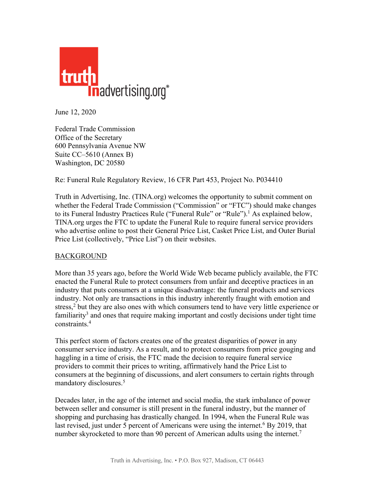

June 12, 2020

Federal Trade Commission Office of the Secretary 600 Pennsylvania Avenue NW Suite CC–5610 (Annex B) Washington, DC 20580

Re: Funeral Rule Regulatory Review, 16 CFR Part 453, Project No. P034410

Truth in Advertising, Inc. (TINA.org) welcomes the opportunity to submit comment on whether the Federal Trade Commission ("Commission" or "FTC") should make changes to its Funeral Industry Practices Rule ("Funeral Rule" or "Rule").<sup>1</sup> As explained below, TINA.org urges the FTC to update the Funeral Rule to require funeral service providers who advertise online to post their General Price List, Casket Price List, and Outer Burial Price List (collectively, "Price List") on their websites.

### BACKGROUND

More than 35 years ago, before the World Wide Web became publicly available, the FTC enacted the Funeral Rule to protect consumers from unfair and deceptive practices in an industry that puts consumers at a unique disadvantage: the funeral products and services industry. Not only are transactions in this industry inherently fraught with emotion and stress,<sup>2</sup> but they are also ones with which consumers tend to have very little experience or familiarity<sup>3</sup> and ones that require making important and costly decisions under tight time constraints.4

This perfect storm of factors creates one of the greatest disparities of power in any consumer service industry. As a result, and to protect consumers from price gouging and haggling in a time of crisis, the FTC made the decision to require funeral service providers to commit their prices to writing, affirmatively hand the Price List to consumers at the beginning of discussions, and alert consumers to certain rights through mandatory disclosures.5

Decades later, in the age of the internet and social media, the stark imbalance of power between seller and consumer is still present in the funeral industry, but the manner of shopping and purchasing has drastically changed. In 1994, when the Funeral Rule was last revised, just under 5 percent of Americans were using the internet.<sup>6</sup> By 2019, that number skyrocketed to more than 90 percent of American adults using the internet.<sup>7</sup>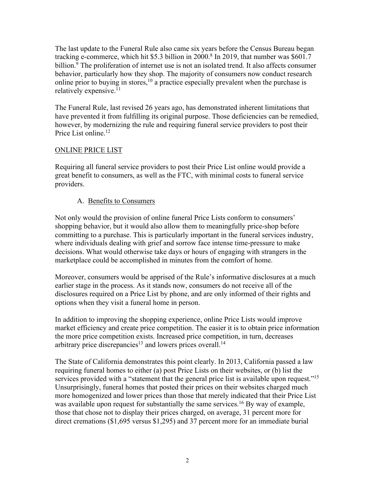The last update to the Funeral Rule also came six years before the Census Bureau began tracking e-commerce, which hit \$5.3 billion in 2000.<sup>8</sup> In 2019, that number was \$601.7 billion.<sup>9</sup> The proliferation of internet use is not an isolated trend. It also affects consumer behavior, particularly how they shop. The majority of consumers now conduct research online prior to buying in stores,<sup>10</sup> a practice especially prevalent when the purchase is relatively expensive.<sup>11</sup>

The Funeral Rule, last revised 26 years ago, has demonstrated inherent limitations that have prevented it from fulfilling its original purpose. Those deficiencies can be remedied, however, by modernizing the rule and requiring funeral service providers to post their Price List online.<sup>12</sup>

### ONLINE PRICE LIST

Requiring all funeral service providers to post their Price List online would provide a great benefit to consumers, as well as the FTC, with minimal costs to funeral service providers.

### A. Benefits to Consumers

Not only would the provision of online funeral Price Lists conform to consumers' shopping behavior, but it would also allow them to meaningfully price-shop before committing to a purchase. This is particularly important in the funeral services industry, where individuals dealing with grief and sorrow face intense time-pressure to make decisions. What would otherwise take days or hours of engaging with strangers in the marketplace could be accomplished in minutes from the comfort of home.

Moreover, consumers would be apprised of the Rule's informative disclosures at a much earlier stage in the process. As it stands now, consumers do not receive all of the disclosures required on a Price List by phone, and are only informed of their rights and options when they visit a funeral home in person.

In addition to improving the shopping experience, online Price Lists would improve market efficiency and create price competition. The easier it is to obtain price information the more price competition exists. Increased price competition, in turn, decreases arbitrary price discrepancies<sup>13</sup> and lowers prices overall.<sup>14</sup>

The State of California demonstrates this point clearly. In 2013, California passed a law requiring funeral homes to either (a) post Price Lists on their websites, or (b) list the services provided with a "statement that the general price list is available upon request."<sup>15</sup> Unsurprisingly, funeral homes that posted their prices on their websites charged much more homogenized and lower prices than those that merely indicated that their Price List was available upon request for substantially the same services.<sup>16</sup> By way of example, those that chose not to display their prices charged, on average, 31 percent more for direct cremations (\$1,695 versus \$1,295) and 37 percent more for an immediate burial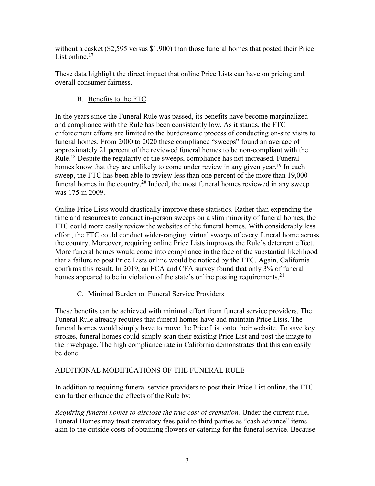without a casket (\$2,595 versus \$1,900) than those funeral homes that posted their Price List online.<sup>17</sup>

These data highlight the direct impact that online Price Lists can have on pricing and overall consumer fairness.

## B. Benefits to the FTC

In the years since the Funeral Rule was passed, its benefits have become marginalized and compliance with the Rule has been consistently low. As it stands, the FTC enforcement efforts are limited to the burdensome process of conducting on-site visits to funeral homes. From 2000 to 2020 these compliance "sweeps" found an average of approximately 21 percent of the reviewed funeral homes to be non-compliant with the Rule.18 Despite the regularity of the sweeps, compliance has not increased. Funeral homes know that they are unlikely to come under review in any given year.<sup>19</sup> In each sweep, the FTC has been able to review less than one percent of the more than 19,000 funeral homes in the country.<sup>20</sup> Indeed, the most funeral homes reviewed in any sweep was 175 in 2009.

Online Price Lists would drastically improve these statistics. Rather than expending the time and resources to conduct in-person sweeps on a slim minority of funeral homes, the FTC could more easily review the websites of the funeral homes. With considerably less effort, the FTC could conduct wider-ranging, virtual sweeps of every funeral home across the country. Moreover, requiring online Price Lists improves the Rule's deterrent effect. More funeral homes would come into compliance in the face of the substantial likelihood that a failure to post Price Lists online would be noticed by the FTC. Again, California confirms this result. In 2019, an FCA and CFA survey found that only 3% of funeral homes appeared to be in violation of the state's online posting requirements.<sup>21</sup>

# C. Minimal Burden on Funeral Service Providers

These benefits can be achieved with minimal effort from funeral service providers. The Funeral Rule already requires that funeral homes have and maintain Price Lists. The funeral homes would simply have to move the Price List onto their website. To save key strokes, funeral homes could simply scan their existing Price List and post the image to their webpage. The high compliance rate in California demonstrates that this can easily be done.

# ADDITIONAL MODIFICATIONS OF THE FUNERAL RULE

In addition to requiring funeral service providers to post their Price List online, the FTC can further enhance the effects of the Rule by:

*Requiring funeral homes to disclose the true cost of cremation.* Under the current rule, Funeral Homes may treat crematory fees paid to third parties as "cash advance" items akin to the outside costs of obtaining flowers or catering for the funeral service. Because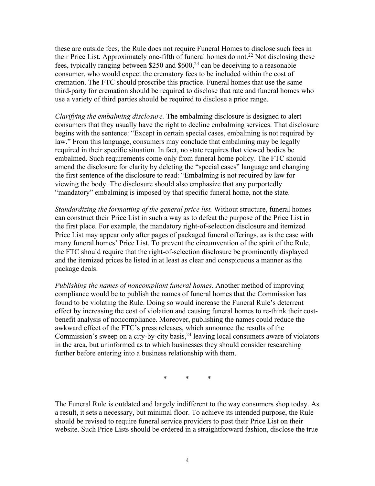these are outside fees, the Rule does not require Funeral Homes to disclose such fees in their Price List. Approximately one-fifth of funeral homes do not.<sup>22</sup> Not disclosing these fees, typically ranging between \$250 and  $$600<sup>23</sup>$  can be deceiving to a reasonable consumer, who would expect the crematory fees to be included within the cost of cremation. The FTC should proscribe this practice. Funeral homes that use the same third-party for cremation should be required to disclose that rate and funeral homes who use a variety of third parties should be required to disclose a price range.

*Clarifying the embalming disclosure.* The embalming disclosure is designed to alert consumers that they usually have the right to decline embalming services. That disclosure begins with the sentence: "Except in certain special cases, embalming is not required by law." From this language, consumers may conclude that embalming may be legally required in their specific situation. In fact, no state requires that viewed bodies be embalmed. Such requirements come only from funeral home policy. The FTC should amend the disclosure for clarity by deleting the "special cases" language and changing the first sentence of the disclosure to read: "Embalming is not required by law for viewing the body. The disclosure should also emphasize that any purportedly "mandatory" embalming is imposed by that specific funeral home, not the state.

*Standardizing the formatting of the general price list.* Without structure, funeral homes can construct their Price List in such a way as to defeat the purpose of the Price List in the first place. For example, the mandatory right-of-selection disclosure and itemized Price List may appear only after pages of packaged funeral offerings, as is the case with many funeral homes' Price List. To prevent the circumvention of the spirit of the Rule, the FTC should require that the right-of-selection disclosure be prominently displayed and the itemized prices be listed in at least as clear and conspicuous a manner as the package deals.

*Publishing the names of noncompliant funeral homes*. Another method of improving compliance would be to publish the names of funeral homes that the Commission has found to be violating the Rule. Doing so would increase the Funeral Rule's deterrent effect by increasing the cost of violation and causing funeral homes to re-think their costbenefit analysis of noncompliance. Moreover, publishing the names could reduce the awkward effect of the FTC's press releases, which announce the results of the Commission's sweep on a city-by-city basis, $24$  leaving local consumers aware of violators in the area, but uninformed as to which businesses they should consider researching further before entering into a business relationship with them.

\* \* \*

The Funeral Rule is outdated and largely indifferent to the way consumers shop today. As a result, it sets a necessary, but minimal floor. To achieve its intended purpose, the Rule should be revised to require funeral service providers to post their Price List on their website. Such Price Lists should be ordered in a straightforward fashion, disclose the true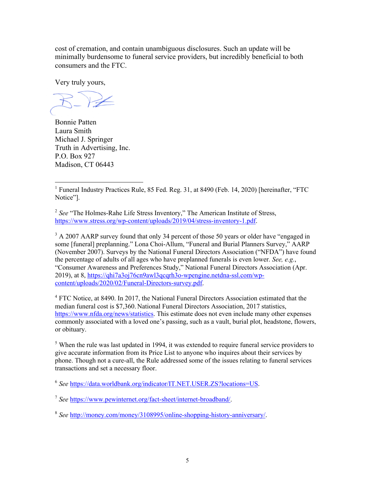cost of cremation, and contain unambiguous disclosures. Such an update will be minimally burdensome to funeral service providers, but incredibly beneficial to both consumers and the FTC.

Very truly yours,

Bonnie Patten Laura Smith Michael J. Springer Truth in Advertising, Inc. P.O. Box 927 Madison, CT 06443

<sup>2</sup> See "The Holmes-Rahe Life Stress Inventory," The American Institute of Stress, https://www.stress.org/wp-content/uploads/2019/04/stress-inventory-1.pdf.

<sup>3</sup> A 2007 AARP survey found that only 34 percent of those 50 years or older have "engaged in some [funeral] preplanning." Lona Choi-Allum, "Funeral and Burial Planners Survey," AARP (November 2007). Surveys by the National Funeral Directors Association ("NFDA") have found the percentage of adults of all ages who have preplanned funerals is even lower. *See, e.g.*, "Consumer Awareness and Preferences Study," National Funeral Directors Association (Apr. 2019), at 8, https://qhi7a3oj76cn9awl3qcqrh3o-wpengine.netdna-ssl.com/wpcontent/uploads/2020/02/Funeral-Directors-survey.pdf.

<sup>4</sup> FTC Notice, at 8490. In 2017, the National Funeral Directors Association estimated that the median funeral cost is \$7,360. National Funeral Directors Association, 2017 statistics, https://www.nfda.org/news/statistics. This estimate does not even include many other expenses commonly associated with a loved one's passing, such as a vault, burial plot, headstone, flowers, or obituary.

 $<sup>5</sup>$  When the rule was last updated in 1994, it was extended to require funeral service providers to</sup> give accurate information from its Price List to anyone who inquires about their services by phone. Though not a cure-all, the Rule addressed some of the issues relating to funeral services transactions and set a necessary floor.

<sup>6</sup> *See* https://data.worldbank.org/indicator/IT.NET.USER.ZS?locations=US.

<sup>7</sup> *See* https://www.pewinternet.org/fact-sheet/internet-broadband/.

<sup>8</sup> *See* http://money.com/money/3108995/online-shopping-history-anniversary/.

<sup>&</sup>lt;sup>1</sup> Funeral Industry Practices Rule, 85 Fed. Reg. 31, at 8490 (Feb. 14, 2020) [hereinafter, "FTC Notice"].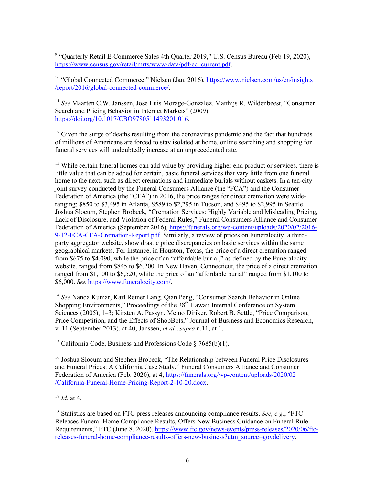<sup>9</sup> "Quarterly Retail E-Commerce Sales 4th Quarter 2019," U.S. Census Bureau (Feb 19, 2020), https://www.census.gov/retail/mrts/www/data/pdf/ec\_current.pdf.

<sup>10</sup> "Global Connected Commerce," Nielsen (Jan. 2016), https://www.nielsen.com/us/en/insights /report/2016/global-connected-commerce/.

<sup>11</sup> *See* Maarten C.W. Janssen, Jose Luis Morage-Gonzalez, Matthijs R. Wildenbeest, "Consumer Search and Pricing Behavior in Internet Markets" (2009), https://doi.org/10.1017/CBO9780511493201.016.

 $12$  Given the surge of deaths resulting from the coronavirus pandemic and the fact that hundreds of millions of Americans are forced to stay isolated at home, online searching and shopping for funeral services will undoubtedly increase at an unprecedented rate.

 $13$  While certain funeral homes can add value by providing higher end product or services, there is little value that can be added for certain, basic funeral services that vary little from one funeral home to the next, such as direct cremations and immediate burials without caskets. In a ten-city joint survey conducted by the Funeral Consumers Alliance (the "FCA") and the Consumer Federation of America (the "CFA") in 2016, the price ranges for direct cremation were wideranging: \$850 to \$3,495 in Atlanta, \$589 to \$2,295 in Tucson, and \$495 to \$2,995 in Seattle. Joshua Slocum, Stephen Brobeck, "Cremation Services: Highly Variable and Misleading Pricing, Lack of Disclosure, and Violation of Federal Rules," Funeral Consumers Alliance and Consumer Federation of America (September 2016), https://funerals.org/wp-content/uploads/2020/02/2016-9-12-FCA-CFA-Cremation-Report.pdf. Similarly, a review of prices on Funeralocity, a thirdparty aggregator website, show drastic price discrepancies on basic services within the same geographical markets. For instance, in Houston, Texas, the price of a direct cremation ranged from \$675 to \$4,090, while the price of an "affordable burial," as defined by the Funeralocity website, ranged from \$845 to \$6,200. In New Haven, Connecticut, the price of a direct cremation ranged from \$1,100 to \$6,520, while the price of an "affordable burial" ranged from \$1,100 to \$6,000. *See* https://www.funeralocity.com/.

<sup>14</sup> *See* Nanda Kumar, Karl Reiner Lang, Qian Peng, "Consumer Search Behavior in Online Shopping Environments," Proceedings of the 38<sup>th</sup> Hawaii Internal Conference on System Sciences (2005), 1–3; Kirsten A. Passyn, Memo Diriker, Robert B. Settle, "Price Comparison, Price Competition, and the Effects of ShopBots," Journal of Business and Economics Research, v. 11 (September 2013), at 40; Janssen, *et al.*, *supra* n.11, at 1.

<sup>15</sup> California Code, Business and Professions Code § 7685(b)(1).

<sup>16</sup> Joshua Slocum and Stephen Brobeck, "The Relationship between Funeral Price Disclosures" and Funeral Prices: A California Case Study," Funeral Consumers Alliance and Consumer Federation of America (Feb. 2020), at 4, https://funerals.org/wp-content/uploads/2020/02 /California-Funeral-Home-Pricing-Report-2-10-20.docx.

<sup>17</sup> *Id.* at 4.

<sup>18</sup> Statistics are based on FTC press releases announcing compliance results. *See, e.g.*, "FTC Releases Funeral Home Compliance Results, Offers New Business Guidance on Funeral Rule Requirements," FTC (June 8, 2020), https://www.ftc.gov/news-events/press-releases/2020/06/ftcreleases-funeral-home-compliance-results-offers-new-business?utm\_source=govdelivery.